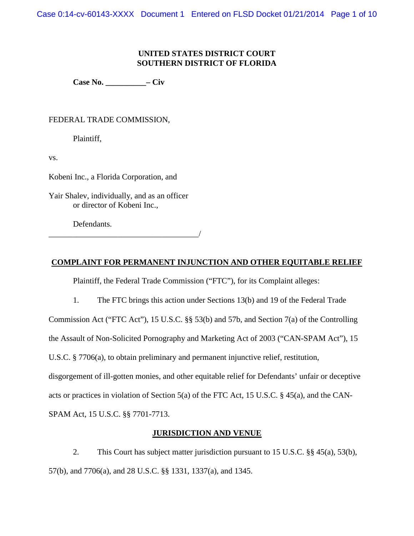Case 0:14-cv-60143-XXXX Document 1 Entered on FLSD Docket 01/21/2014 Page 1 of 10

# **UNITED STATES DISTRICT COURT SOUTHERN DISTRICT OF FLORIDA**

**Case No. \_\_\_\_\_\_\_\_\_\_– Civ**

# FEDERAL TRADE COMMISSION,

Plaintiff,

vs.

Kobeni Inc., a Florida Corporation, and

Yair Shalev, individually, and as an officer or director of Kobeni Inc.,

Defendants.

\_\_\_\_\_\_\_\_\_\_\_\_\_\_\_\_\_\_\_\_\_\_\_\_\_\_\_\_\_\_\_\_\_\_\_\_\_/

# **COMPLAINT FOR PERMANENT INJUNCTION AND OTHER EQUITABLE RELIEF**

Plaintiff, the Federal Trade Commission ("FTC"), for its Complaint alleges:

1. The FTC brings this action under Sections 13(b) and 19 of the Federal Trade

Commission Act ("FTC Act"), 15 U.S.C. §§ 53(b) and 57b, and Section 7(a) of the Controlling

the Assault of Non-Solicited Pornography and Marketing Act of 2003 ("CAN-SPAM Act"), 15

U.S.C. § 7706(a), to obtain preliminary and permanent injunctive relief, restitution,

disgorgement of ill-gotten monies, and other equitable relief for Defendants' unfair or deceptive

acts or practices in violation of Section 5(a) of the FTC Act, 15 U.S.C. § 45(a), and the CAN-

SPAM Act, 15 U.S.C. §§ 7701-7713.

# **JURISDICTION AND VENUE**

2. This Court has subject matter jurisdiction pursuant to 15 U.S.C. §§ 45(a), 53(b), 57(b), and 7706(a), and 28 U.S.C. §§ 1331, 1337(a), and 1345.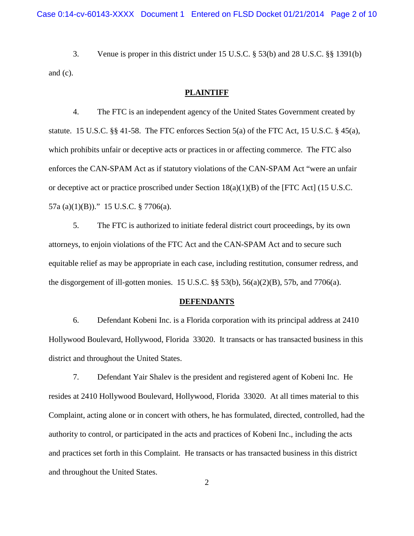3. Venue is proper in this district under 15 U.S.C. § 53(b) and 28 U.S.C. §§ 1391(b) and (c).

## **PLAINTIFF**

4. The FTC is an independent agency of the United States Government created by statute. 15 U.S.C.  $\S$ § 41-58. The FTC enforces Section 5(a) of the FTC Act, 15 U.S.C.  $\S$  45(a), which prohibits unfair or deceptive acts or practices in or affecting commerce. The FTC also enforces the CAN-SPAM Act as if statutory violations of the CAN-SPAM Act "were an unfair or deceptive act or practice proscribed under Section  $18(a)(1)(B)$  of the [FTC Act] (15 U.S.C. 57a (a)(1)(B))." 15 U.S.C. § 7706(a).

5. The FTC is authorized to initiate federal district court proceedings, by its own attorneys, to enjoin violations of the FTC Act and the CAN-SPAM Act and to secure such equitable relief as may be appropriate in each case, including restitution, consumer redress, and the disgorgement of ill-gotten monies. 15 U.S.C. §§ 53(b), 56(a)(2)(B), 57b, and 7706(a).

#### **DEFENDANTS**

6. Defendant Kobeni Inc. is a Florida corporation with its principal address at 2410 Hollywood Boulevard, Hollywood, Florida 33020. It transacts or has transacted business in this district and throughout the United States.

7. Defendant Yair Shalev is the president and registered agent of Kobeni Inc. He resides at 2410 Hollywood Boulevard, Hollywood, Florida 33020. At all times material to this Complaint, acting alone or in concert with others, he has formulated, directed, controlled, had the authority to control, or participated in the acts and practices of Kobeni Inc., including the acts and practices set forth in this Complaint. He transacts or has transacted business in this district and throughout the United States.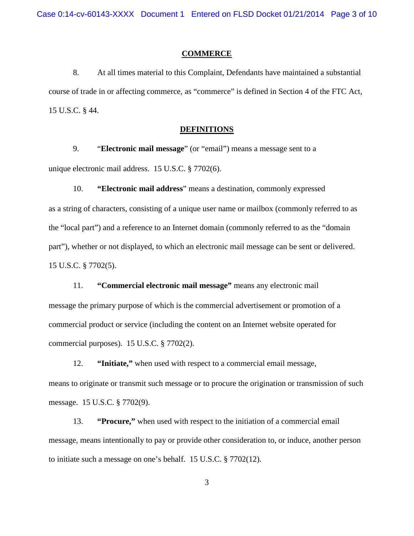Case 0:14-cv-60143-XXXX Document 1 Entered on FLSD Docket 01/21/2014 Page 3 of 10

#### **COMMERCE**

8. At all times material to this Complaint, Defendants have maintained a substantial course of trade in or affecting commerce, as "commerce" is defined in Section 4 of the FTC Act, 15 U.S.C. § 44.

#### **DEFINITIONS**

9. "**Electronic mail message**" (or "email") means a message sent to a unique electronic mail address. 15 U.S.C. § 7702(6).

10. **"Electronic mail address**" means a destination, commonly expressed as a string of characters, consisting of a unique user name or mailbox (commonly referred to as the "local part") and a reference to an Internet domain (commonly referred to as the "domain part"), whether or not displayed, to which an electronic mail message can be sent or delivered. 15 U.S.C. § 7702(5).

11. **"Commercial electronic mail message"** means any electronic mail message the primary purpose of which is the commercial advertisement or promotion of a commercial product or service (including the content on an Internet website operated for commercial purposes). 15 U.S.C. § 7702(2).

12. **"Initiate,"** when used with respect to a commercial email message, means to originate or transmit such message or to procure the origination or transmission of such message. 15 U.S.C. § 7702(9).

 13. **"Procure,"** when used with respect to the initiation of a commercial email message, means intentionally to pay or provide other consideration to, or induce, another person to initiate such a message on one's behalf. 15 U.S.C. § 7702(12).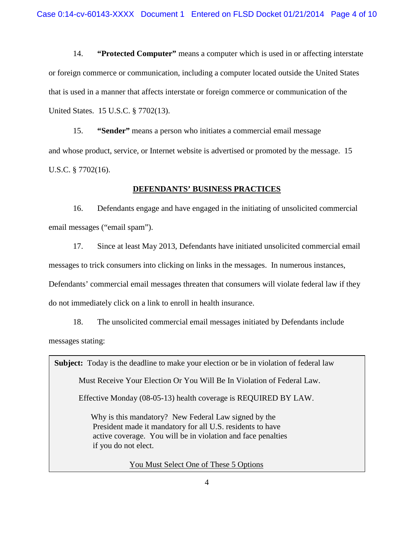14. **"Protected Computer"** means a computer which is used in or affecting interstate or foreign commerce or communication, including a computer located outside the United States that is used in a manner that affects interstate or foreign commerce or communication of the United States. 15 U.S.C. § 7702(13).

15. **"Sender"** means a person who initiates a commercial email message and whose product, service, or Internet website is advertised or promoted by the message. 15 U.S.C. § 7702(16).

# **DEFENDANTS' BUSINESS PRACTICES**

 16. Defendants engage and have engaged in the initiating of unsolicited commercial email messages ("email spam").

 17. Since at least May 2013, Defendants have initiated unsolicited commercial email messages to trick consumers into clicking on links in the messages. In numerous instances, Defendants' commercial email messages threaten that consumers will violate federal law if they do not immediately click on a link to enroll in health insurance.

18. The unsolicited commercial email messages initiated by Defendants include messages stating:

**Subject:** Today is the deadline to make your election or be in violation of federal law

Must Receive Your Election Or You Will Be In Violation of Federal Law.

Effective Monday (08-05-13) health coverage is REQUIRED BY LAW.

Why is this mandatory? New Federal Law signed by the President made it mandatory for all U.S. residents to have active coverage. You will be in violation and face penalties if you do not elect.

You Must Select One of These 5 Options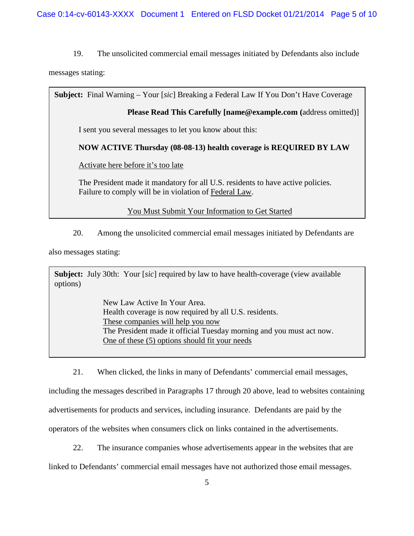19. The unsolicited commercial email messages initiated by Defendants also include

messages stating:

**Subject:** Final Warning – Your [*sic*] Breaking a Federal Law If You Don't Have Coverage

**Please Read This Carefully [name@example.com (**address omitted)]

I sent you several messages to let you know about this:

# **NOW ACTIVE Thursday (08-08-13) health coverage is REQUIRED BY LAW**

Activate here before it's too late

The President made it mandatory for all U.S. residents to have active policies. Failure to comply will be in violation of Federal Law.

You Must Submit Your Information to Get Started

20. Among the unsolicited commercial email messages initiated by Defendants are

also messages stating:

**Subject:** July 30th: Your [*sic*] required by law to have health-coverage (view available options)

> New Law Active In Your Area. Health coverage is now required by all U.S. residents. These companies will help you now The President made it official Tuesday morning and you must act now. One of these (5) options should fit your needs

 21. When clicked, the links in many of Defendants' commercial email messages, including the messages described in Paragraphs 17 through 20 above, lead to websites containing advertisements for products and services, including insurance. Defendants are paid by the operators of the websites when consumers click on links contained in the advertisements.

 22. The insurance companies whose advertisements appear in the websites that are linked to Defendants' commercial email messages have not authorized those email messages.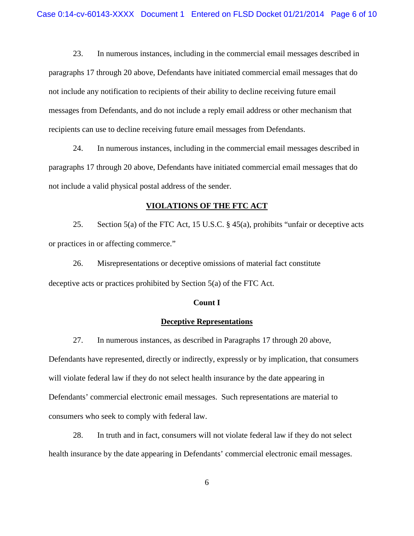23. In numerous instances, including in the commercial email messages described in paragraphs 17 through 20 above, Defendants have initiated commercial email messages that do not include any notification to recipients of their ability to decline receiving future email messages from Defendants, and do not include a reply email address or other mechanism that recipients can use to decline receiving future email messages from Defendants.

 24. In numerous instances, including in the commercial email messages described in paragraphs 17 through 20 above, Defendants have initiated commercial email messages that do not include a valid physical postal address of the sender.

## **VIOLATIONS OF THE FTC ACT**

25. Section 5(a) of the FTC Act, 15 U.S.C. § 45(a), prohibits "unfair or deceptive acts or practices in or affecting commerce."

26. Misrepresentations or deceptive omissions of material fact constitute deceptive acts or practices prohibited by Section 5(a) of the FTC Act.

#### **Count I**

## **Deceptive Representations**

27. In numerous instances, as described in Paragraphs 17 through 20 above, Defendants have represented, directly or indirectly, expressly or by implication, that consumers will violate federal law if they do not select health insurance by the date appearing in Defendants' commercial electronic email messages. Such representations are material to consumers who seek to comply with federal law.

 28. In truth and in fact, consumers will not violate federal law if they do not select health insurance by the date appearing in Defendants' commercial electronic email messages.

6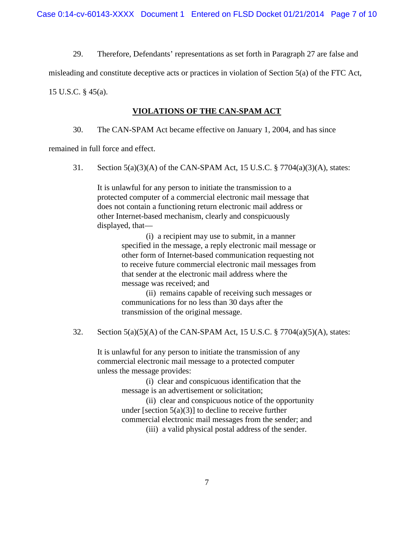29. Therefore, Defendants' representations as set forth in Paragraph 27 are false and

misleading and constitute deceptive acts or practices in violation of Section 5(a) of the FTC Act,

15 U.S.C. § 45(a).

# **VIOLATIONS OF THE CAN-SPAM ACT**

30. The CAN-SPAM Act became effective on January 1, 2004, and has since

remained in full force and effect.

31. Section 5(a)(3)(A) of the CAN-SPAM Act, 15 U.S.C. § 7704(a)(3)(A), states:

It is unlawful for any person to initiate the transmission to a protected computer of a commercial electronic mail message that does not contain a functioning return electronic mail address or other Internet-based mechanism, clearly and conspicuously displayed, that—

> (i) a recipient may use to submit, in a manner specified in the message, a reply electronic mail message or other form of Internet-based communication requesting not to receive future commercial electronic mail messages from that sender at the electronic mail address where the message was received; and

 (ii) remains capable of receiving such messages or communications for no less than 30 days after the transmission of the original message.

32. Section  $5(a)(5)(A)$  of the CAN-SPAM Act, 15 U.S.C. § 7704 $(a)(5)(A)$ , states:

It is unlawful for any person to initiate the transmission of any commercial electronic mail message to a protected computer unless the message provides:

> (i) clear and conspicuous identification that the message is an advertisement or solicitation;

(ii) clear and conspicuous notice of the opportunity under [section  $5(a)(3)$ ] to decline to receive further commercial electronic mail messages from the sender; and

(iii) a valid physical postal address of the sender.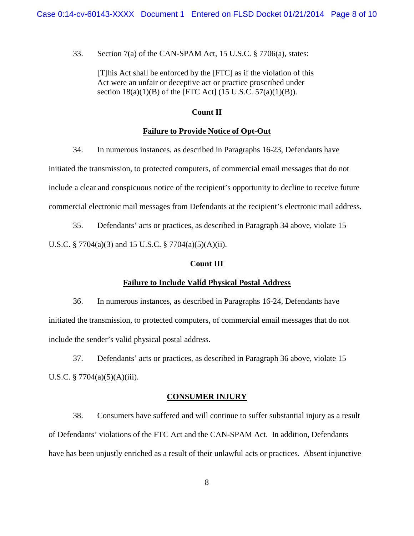33. Section 7(a) of the CAN-SPAM Act, 15 U.S.C. § 7706(a), states:

[T]his Act shall be enforced by the [FTC] as if the violation of this Act were an unfair or deceptive act or practice proscribed under section  $18(a)(1)(B)$  of the [FTC Act] (15 U.S.C. 57(a)(1)(B)).

# **Count II**

# **Failure to Provide Notice of Opt-Out**

34. In numerous instances, as described in Paragraphs 16-23, Defendants have initiated the transmission, to protected computers, of commercial email messages that do not include a clear and conspicuous notice of the recipient's opportunity to decline to receive future commercial electronic mail messages from Defendants at the recipient's electronic mail address.

35. Defendants' acts or practices, as described in Paragraph 34 above, violate 15 U.S.C. § 7704(a)(3) and 15 U.S.C. § 7704(a)(5)(A)(ii).

## **Count III**

## **Failure to Include Valid Physical Postal Address**

36. In numerous instances, as described in Paragraphs 16-24, Defendants have initiated the transmission, to protected computers, of commercial email messages that do not include the sender's valid physical postal address.

37. Defendants' acts or practices, as described in Paragraph 36 above, violate 15 U.S.C. § 7704(a)(5)(A)(iii).

## **CONSUMER INJURY**

 38. Consumers have suffered and will continue to suffer substantial injury as a result of Defendants' violations of the FTC Act and the CAN-SPAM Act. In addition, Defendants have has been unjustly enriched as a result of their unlawful acts or practices. Absent injunctive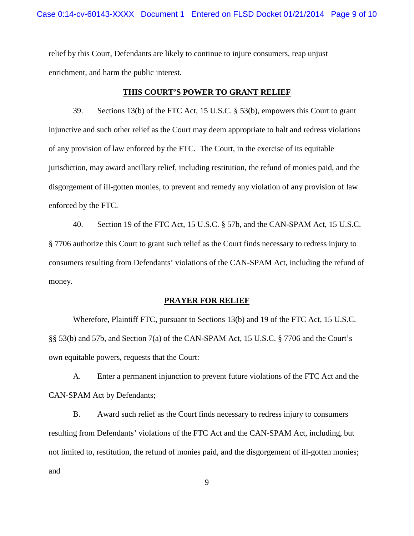relief by this Court, Defendants are likely to continue to injure consumers, reap unjust enrichment, and harm the public interest.

### **THIS COURT'S POWER TO GRANT RELIEF**

39. Sections 13(b) of the FTC Act, 15 U.S.C. § 53(b), empowers this Court to grant injunctive and such other relief as the Court may deem appropriate to halt and redress violations of any provision of law enforced by the FTC. The Court, in the exercise of its equitable jurisdiction, may award ancillary relief, including restitution, the refund of monies paid, and the disgorgement of ill-gotten monies, to prevent and remedy any violation of any provision of law enforced by the FTC.

40. Section 19 of the FTC Act, 15 U.S.C. § 57b, and the CAN-SPAM Act, 15 U.S.C. § 7706 authorize this Court to grant such relief as the Court finds necessary to redress injury to consumers resulting from Defendants' violations of the CAN-SPAM Act, including the refund of money.

#### **PRAYER FOR RELIEF**

Wherefore, Plaintiff FTC, pursuant to Sections 13(b) and 19 of the FTC Act, 15 U.S.C. §§ 53(b) and 57b, and Section 7(a) of the CAN-SPAM Act, 15 U.S.C. § 7706 and the Court's own equitable powers, requests that the Court:

A. Enter a permanent injunction to prevent future violations of the FTC Act and the CAN-SPAM Act by Defendants;

B. Award such relief as the Court finds necessary to redress injury to consumers resulting from Defendants' violations of the FTC Act and the CAN-SPAM Act, including, but not limited to, restitution, the refund of monies paid, and the disgorgement of ill-gotten monies; and